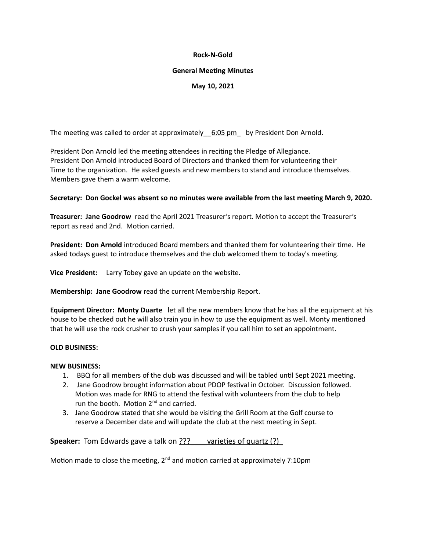#### **Rock-N-Gold**

#### **General Meeting Minutes**

# **May 10, 2021**

The meeting was called to order at approximately  $6:05 \text{ pm}$  by President Don Arnold.

President Don Arnold led the meeting attendees in reciting the Pledge of Allegiance. President Don Arnold introduced Board of Directors and thanked them for volunteering their Time to the organization. He asked guests and new members to stand and introduce themselves. Members gave them a warm welcome.

## **Secretary: Don Gockel was absent so no minutes were available from the last meeting March 9, 2020.**

**Treasurer: Jane Goodrow** read the April 2021 Treasurer's report. Motion to accept the Treasurer's report as read and 2nd. Motion carried.

**President: Don Arnold** introduced Board members and thanked them for volunteering their time. He asked todays guest to introduce themselves and the club welcomed them to today's meeting.

**Vice President:** Larry Tobey gave an update on the website.

**Membership: Jane Goodrow** read the current Membership Report.

**Equipment Director: Monty Duarte** let all the new members know that he has all the equipment at his house to be checked out he will also train you in how to use the equipment as well. Monty mentioned that he will use the rock crusher to crush your samples if you call him to set an appointment.

## **OLD BUSINESS:**

#### **NEW BUSINESS:**

- 1. BBQ for all members of the club was discussed and will be tabled until Sept 2021 meeting.
- 2. Jane Goodrow brought information about PDOP festival in October. Discussion followed. Motion was made for RNG to attend the festival with volunteers from the club to help run the booth. Motion  $2^{nd}$  and carried.
- 3. Jane Goodrow stated that she would be visiting the Grill Room at the Golf course to reserve a December date and will update the club at the next meeting in Sept.

**Speaker:** Tom Edwards gave a talk on ??? varieties of quartz (?)

Motion made to close the meeting,  $2^{nd}$  and motion carried at approximately 7:10pm